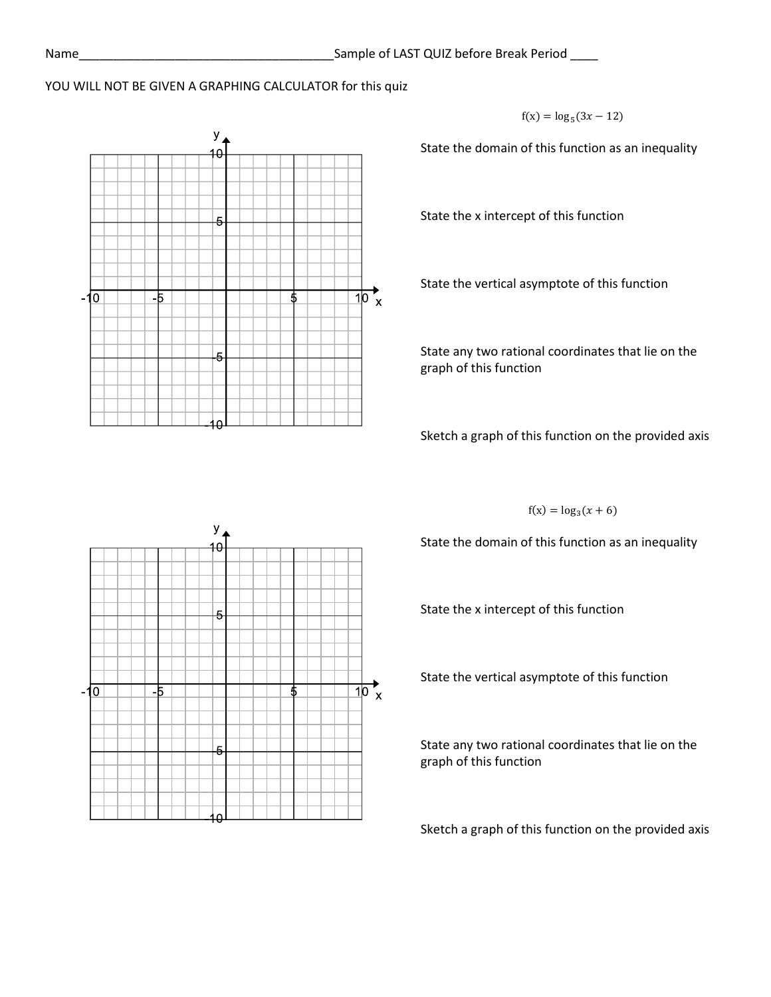## YOU WILL NOT BE GIVEN A GRAPHING CALCULATOR for this quiz



 $f(x) = log_5(3x - 12)$ 

State the domain of this function as an inequality

State the x intercept of this function

State the vertical asymptote of this function

State any two rational coordinates that lie on the graph of this function

Sketch a graph of this function on the provided axis

 $f(x) = log_3(x + 6)$ 

State the domain of this function as an inequality

State the x intercept of this function

State the vertical asymptote of this function

State any two rational coordinates that lie on the graph of this function

Sketch a graph of this function on the provided axis

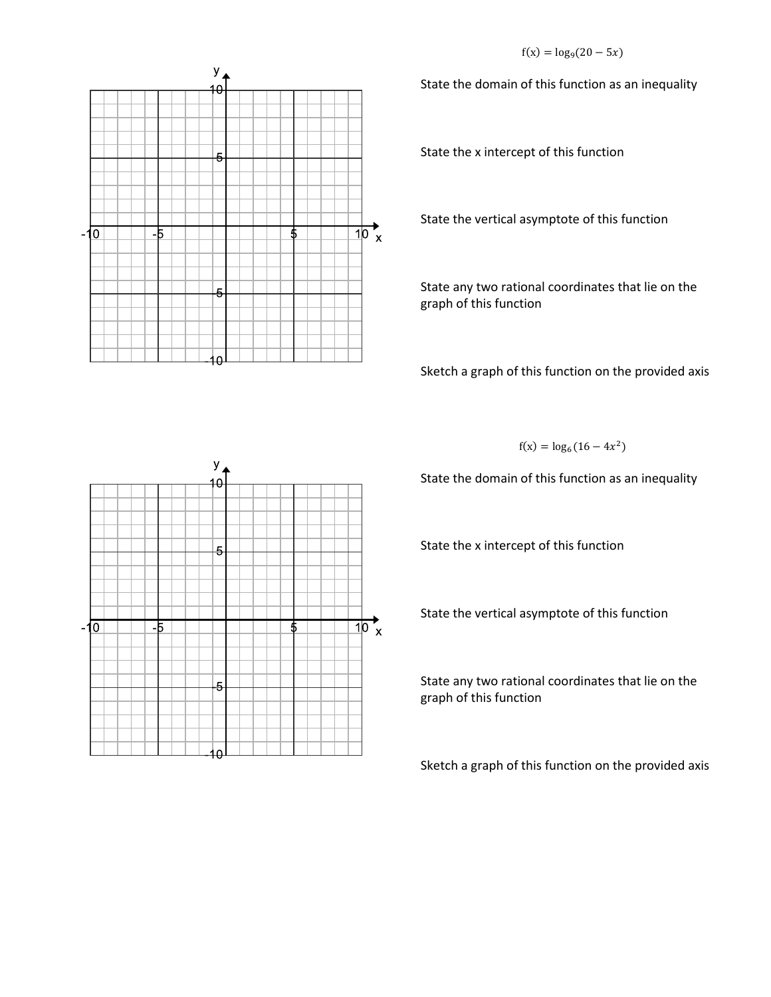$f(x) = log<sub>9</sub>(20 - 5x)$ 



State the domain of this function as an inequality

State the x intercept of this function

State the vertical asymptote of this function

State any two rational coordinates that lie on the graph of this function

Sketch a graph of this function on the provided axis



State the domain of this function as an inequality

State the x intercept of this function

State the vertical asymptote of this function

State any two rational coordinates that lie on the graph of this function

Sketch a graph of this function on the provided axis

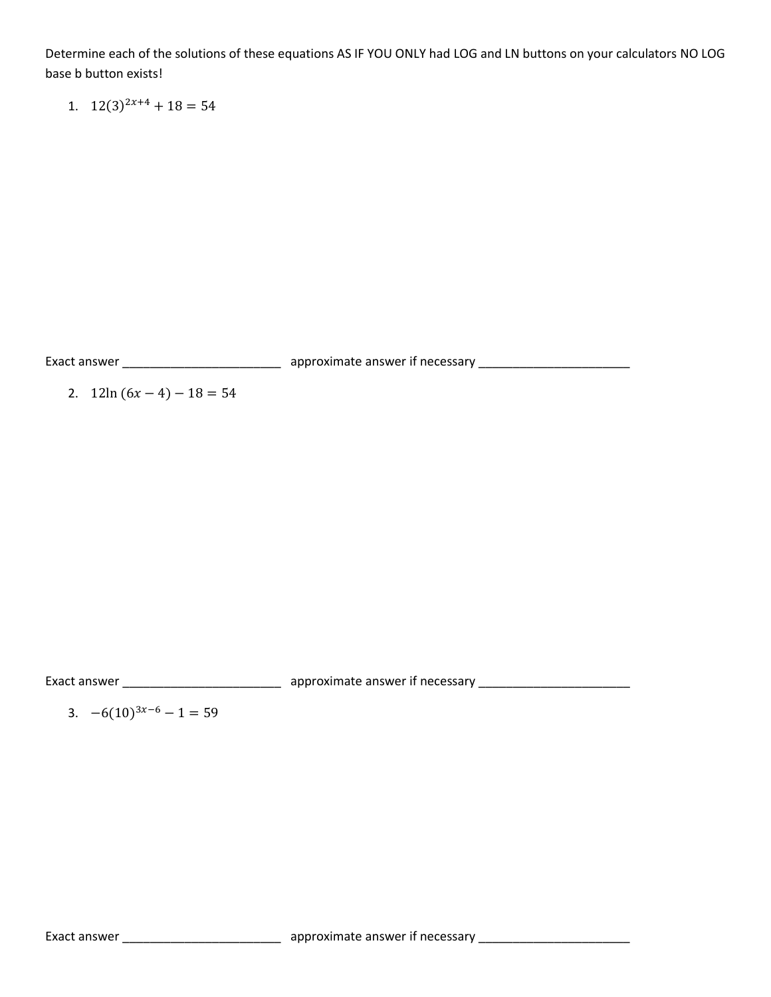Determine each of the solutions of these equations AS IF YOU ONLY had LOG and LN buttons on your calculators NO LOG base b button exists!

1.  $12(3)^{2x+4} + 18 = 54$ 

Exact answer \_\_\_\_\_\_\_\_\_\_\_\_\_\_\_\_\_\_\_\_\_\_\_ approximate answer if necessary \_\_\_\_\_\_\_\_\_\_\_\_\_\_\_\_\_\_\_\_\_\_

2.  $12\ln(6x-4)-18=54$ 

Exact answer \_\_\_\_\_\_\_\_\_\_\_\_\_\_\_\_\_\_\_\_\_\_\_\_\_\_\_\_\_\_\_\_\_\_ approximate answer if necessary \_\_\_\_\_\_\_\_\_\_\_\_\_\_\_\_\_\_\_\_\_\_\_\_\_\_\_\_\_\_

3.  $-6(10)^{3x-6} - 1 = 59$